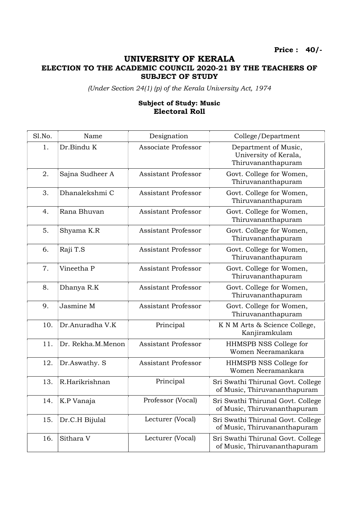## UNIVERSITY OF KERALA

## ELECTION TO THE ACADEMIC COUNCIL 2020-21 BY THE TEACHERS OF SUBJECT OF STUDY

(Under Section 24(1) (p) of the Kerala University Act, 1974

## Subject of Study: Music Electoral Roll

| Sl.No. | Name              | Designation                | College/Department                                                  |
|--------|-------------------|----------------------------|---------------------------------------------------------------------|
| 1.     | Dr.Bindu K        | Associate Professor        | Department of Music,<br>University of Kerala,<br>Thiruvananthapuram |
| 2.     | Sajna Sudheer A   | <b>Assistant Professor</b> | Govt. College for Women,<br>Thiruvananthapuram                      |
| 3.     | Dhanalekshmi C    | <b>Assistant Professor</b> | Govt. College for Women,<br>Thiruvananthapuram                      |
| 4.     | Rana Bhuvan       | <b>Assistant Professor</b> | Govt. College for Women,<br>Thiruvananthapuram                      |
| 5.     | Shyama K.R        | <b>Assistant Professor</b> | Govt. College for Women,<br>Thiruvananthapuram                      |
| 6.     | Raji T.S          | <b>Assistant Professor</b> | Govt. College for Women,<br>Thiruvananthapuram                      |
| 7.     | Vineetha P        | <b>Assistant Professor</b> | Govt. College for Women,<br>Thiruvananthapuram                      |
| 8.     | Dhanya R.K        | <b>Assistant Professor</b> | Govt. College for Women,<br>Thiruvananthapuram                      |
| 9.     | Jasmine M         | <b>Assistant Professor</b> | Govt. College for Women,<br>Thiruvananthapuram                      |
| 10.    | Dr.Anuradha V.K   | Principal                  | K N M Arts & Science College,<br>Kanjiramkulam                      |
| 11.    | Dr. Rekha.M.Menon | <b>Assistant Professor</b> | HHMSPB NSS College for<br>Women Neeramankara                        |
| 12.    | Dr.Aswathy. S     | <b>Assistant Professor</b> | HHMSPB NSS College for<br>Women Neeramankara                        |
| 13.    | R.Harikrishnan    | Principal                  | Sri Swathi Thirunal Govt. College<br>of Music, Thiruvananthapuram   |
| 14.    | K.P Vanaja        | Professor (Vocal)          | Sri Swathi Thirunal Govt. College<br>of Music, Thiruvananthapuram   |
| 15.    | Dr.C.H Bijulal    | Lecturer (Vocal)           | Sri Swathi Thirunal Govt. College<br>of Music, Thiruvananthapuram   |
| 16.    | Sithara V         | Lecturer (Vocal)           | Sri Swathi Thirunal Govt. College<br>of Music, Thiruvananthapuram   |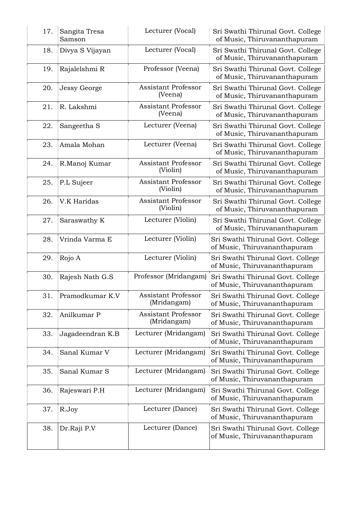| 17. | Sangita Tresa<br>Samson | Lecturer (Vocal)                          | Sri Swathi Thirunal Govt. College<br>of Music, Thiruvananthapuram |
|-----|-------------------------|-------------------------------------------|-------------------------------------------------------------------|
| 18. | Divya S Vijayan         | Lecturer (Vocal)                          | Sri Swathi Thirunal Govt. College<br>of Music, Thiruvananthapuram |
| 19. | Rajalelshmi R           | Professor (Veena)                         | Sri Swathi Thirunal Govt. College<br>of Music, Thiruvananthapuram |
| 20. | <b>Jessy George</b>     | <b>Assistant Professor</b><br>(Veena)     | Sri Swathi Thirunal Govt. College<br>of Music, Thiruvananthapuram |
| 21. | R. Lakshmi              | <b>Assistant Professor</b><br>(Veena)     | Sri Swathi Thirunal Govt. College<br>of Music, Thiruvananthapuram |
| 22. | Sangeetha S             | Lecturer (Veena)                          | Sri Swathi Thirunal Govt. College<br>of Music, Thiruvananthapuram |
| 23. | Amala Mohan             | Lecturer (Veena)                          | Sri Swathi Thirunal Govt. College<br>of Music, Thiruvananthapuram |
| 24. | R.Manoj Kumar           | <b>Assistant Professor</b><br>(Violin)    | Sri Swathi Thirunal Govt. College<br>of Music, Thiruvananthapuram |
| 25. | P.L Sujeer              | <b>Assistant Professor</b><br>(Violin)    | Sri Swathi Thirunal Govt. College<br>of Music, Thiruvananthapuram |
| 26. | V.K Haridas             | <b>Assistant Professor</b><br>(Violin)    | Sri Swathi Thirunal Govt. College<br>of Music, Thiruvananthapuram |
| 27. | Saraswathy K            | Lecturer (Violin)                         | Sri Swathi Thirunal Govt. College<br>of Music, Thiruvananthapuram |
| 28. | Vrinda Varma E          | Lecturer (Violin)                         | Sri Swathi Thirunal Govt. College<br>of Music, Thiruvananthapuram |
| 29. | Rojo A                  | Lecturer (Violin)                         | Sri Swathi Thirunal Govt. College<br>of Music, Thiruvananthapuram |
| 30. | Rajesh Nath G.S         | Professor (Mridangam)                     | Sri Swathi Thirunal Govt. College<br>of Music, Thiruvananthapuram |
| 31. | Pramodkumar K.V         | <b>Assistant Professor</b><br>(Mridangam) | Sri Swathi Thirunal Govt. College<br>of Music, Thiruvananthapuram |
| 32. | Anilkumar P             | <b>Assistant Professor</b><br>(Mridangam) | Sri Swathi Thirunal Govt. College<br>of Music, Thiruvananthapuram |
| 33. | Jagadeendran K.B        | Lecturer (Mridangam)                      | Sri Swathi Thirunal Govt. College<br>of Music, Thiruvananthapuram |
| 34. | Sanal Kumar V           | Lecturer (Mridangam)                      | Sri Swathi Thirunal Govt. College<br>of Music, Thiruvananthapuram |
| 35. | Sanal Kumar S           | Lecturer (Mridangam)                      | Sri Swathi Thirunal Govt. College<br>of Music, Thiruvananthapuram |
| 36. | Rajeswari P.H           | Lecturer (Mridangam)                      | Sri Swathi Thirunal Govt. College<br>of Music, Thiruvananthapuram |
| 37. | R.Joy                   | Lecturer (Dance)                          | Sri Swathi Thirunal Govt. College<br>of Music, Thiruvananthapuram |
| 38. | Dr.Raji P.V             | Lecturer (Dance)                          | Sri Swathi Thirunal Govt. College<br>of Music, Thiruvananthapuram |